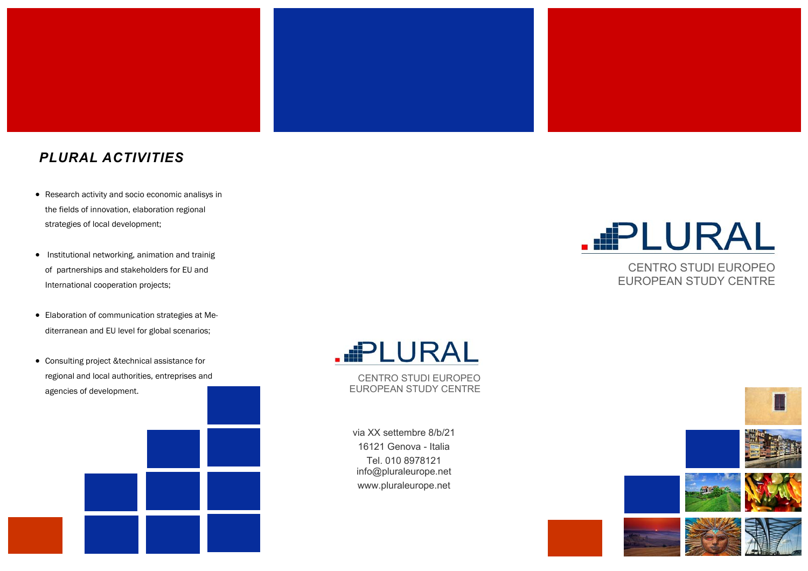

#### *PLURAL ACTIVITIES*

- Research activity and socio economic analisys in the fields of innovation, elaboration regional strategies of local development;
- Institutional networking, animation and trainig of partnerships and stakeholders for EU and International cooperation projects;
- Elaboration of communication strategies at Mediterranean and EU level for global scenarios;
- Consulting project &technical assistance for regional and local authorities, entreprises and agencies of development.

# **.**DLURAL

CENTRO STUDI EUROPEO EUROPEAN STUDY CENTRE

via XX settembre 8/b/21 16121 Genova - Italia Tel. 010 8978121 info@pluraleurope.net www.pluraleurope.net



CENTRO STUDI EUROPEO EUROPEAN STUDY CENTRE